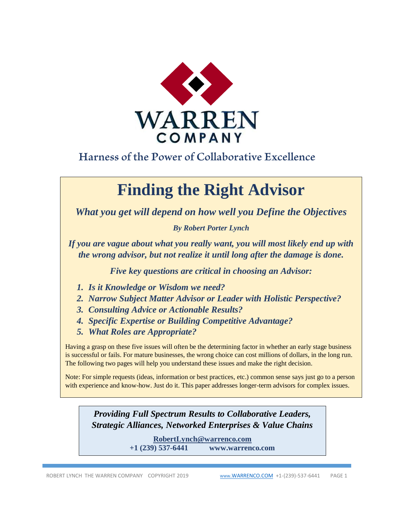

## Harness of the Power of Collaborative Excellence

# **Finding the Right Advisor**

*What you get will depend on how well you Define the Objectives*

*By Robert Porter Lynch*

*If you are vague about what you really want, you will most likely end up with the wrong advisor, but not realize it until long after the damage is done.* 

*Five key questions are critical in choosing an Advisor:*

- *1. Is it Knowledge or Wisdom we need?*
- *2. Narrow Subject Matter Advisor or Leader with Holistic Perspective?*
- *3. Consulting Advice or Actionable Results?*
- *4. Specific Expertise or Building Competitive Advantage?*
- *5. What Roles are Appropriate?*

Having a grasp on these five issues will often be the determining factor in whether an early stage business is successful or fails. For mature businesses, the wrong choice can cost millions of dollars, in the long run. The following two pages will help you understand these issues and make the right decision.

Note: For simple requests (ideas, information or best practices, etc.) common sense says just go to a person with experience and know-how. Just do it. This paper addresses longer-term advisors for complex issues.

*Providing Full Spectrum Results to Collaborative Leaders, Strategic Alliances, Networked Enterprises & Value Chains*

> **[RobertLynch@warrenco.com](mailto:RobertLynch@warrenco.com) +1 (239) 537-6441 www.warrenco.com**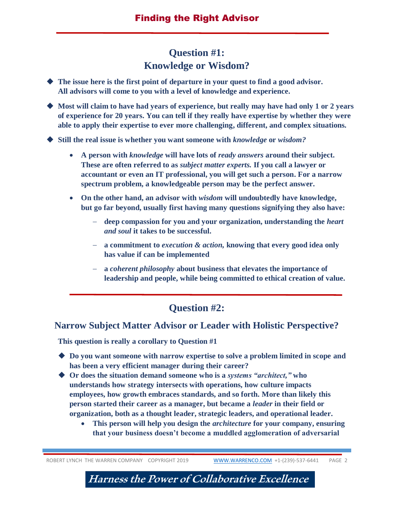### **Question #1: Knowledge or Wisdom?**

 **The issue here is the first point of departure in your quest to find a good advisor. All advisors will come to you with a level of knowledge and experience.** 

 **Most will claim to have had years of experience, but really may have had only 1 or 2 years of experience for 20 years. You can tell if they really have expertise by whether they were able to apply their expertise to ever more challenging, different, and complex situations.** 

**Still the real issue is whether you want someone with** *knowledge* **or** *wisdom?* 

- **A person with** *knowledge* **will have lots of** *ready answers* **around their subject. These are often referred to as** *subject matter experts.* **If you call a lawyer or accountant or even an IT professional, you will get such a person. For a narrow spectrum problem, a knowledgeable person may be the perfect answer.**
- **On the other hand, an advisor with** *wisdom* **will undoubtedly have knowledge, but go far beyond, usually first having many questions signifying they also have:**
	- **deep compassion for you and your organization, understanding the** *heart and soul* **it takes to be successful.**
	- **a commitment to** *execution & action,* **knowing that every good idea only has value if can be implemented**
	- **a** *coherent philosophy* **about business that elevates the importance of leadership and people, while being committed to ethical creation of value.**

#### **Question #2:**

#### **Narrow Subject Matter Advisor or Leader with Holistic Perspective?**

**This question is really a corollary to Question #1**

- **Do you want someone with narrow expertise to solve a problem limited in scope and has been a very efficient manager during their career?**
- **Or does the situation demand someone who is a** *systems "architect,"* **who understands how strategy intersects with operations, how culture impacts employees, how growth embraces standards, and so forth. More than likely this person started their career as a manager, but became a** *leader* **in their field or organization, both as a thought leader, strategic leaders, and operational leader.** 
	- **This person will help you design the** *architecture* **for your company, ensuring that your business doesn't become a muddled agglomeration of adversarial**

ROBERT LYNCH THE WARREN COMPANY COPYRIGHT 2019 WWW.WARRENCO.COM +1-(239)-537-6441 PAGE 2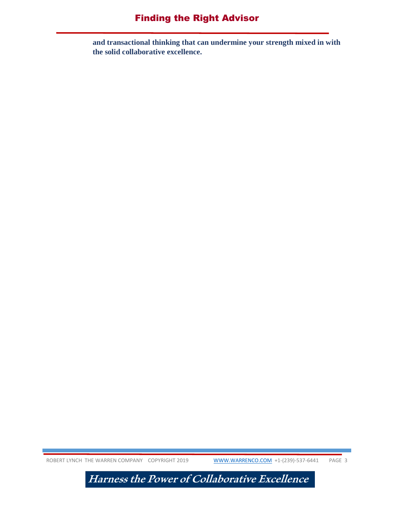#### Finding the Right Advisor

**and transactional thinking that can undermine your strength mixed in with the solid collaborative excellence.** 

ROBERT LYNCH THE WARREN COMPANY COPYRIGHT 2019 WWW.WARRENCO.COM +1-(239)-537-6441 PAGE 3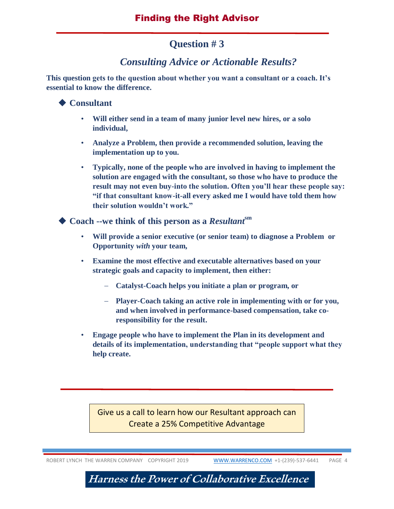#### **Question # 3**

#### *Consulting Advice or Actionable Results?*

**This question gets to the question about whether you want a consultant or a coach. It's essential to know the difference.**

#### **◆ Consultant**

- **Will either send in a team of many junior level new hires, or a solo individual,**
- **Analyze a Problem, then provide a recommended solution, leaving the implementation up to you.**
- **Typically, none of the people who are involved in having to implement the solution are engaged with the consultant, so those who have to produce the result may not even buy-into the solution. Often you'll hear these people say: "if that consultant know-it-all every asked me I would have told them how their solution wouldn't work."**

◆ Coach --we think of this person as a *Resultant*<sup>sm</sup>

- **Will provide a senior executive (or senior team) to diagnose a Problem or Opportunity** *with* **your team,**
- **Examine the most effective and executable alternatives based on your strategic goals and capacity to implement, then either:** 
	- **Catalyst-Coach helps you initiate a plan or program, or**
	- **Player-Coach taking an active role in implementing with or for you, and when involved in performance-based compensation, take coresponsibility for the result.**
- **Engage people who have to implement the Plan in its development and details of its implementation, understanding that "people support what they help create.**

Give us a call to learn how our Resultant approach can Create a 25% Competitive Advantage

ROBERT LYNCH THE WARREN COMPANY COPYRIGHT 2019 WWW.WARRENCO.COM +1-(239)-537-6441 PAGE 4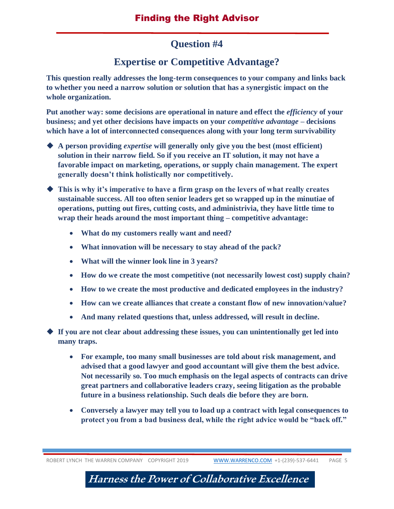#### **Question #4**

### **Expertise or Competitive Advantage?**

**This question really addresses the long-term consequences to your company and links back to whether you need a narrow solution or solution that has a synergistic impact on the whole organization.** 

Put another way: some decisions are operational in nature and effect the *efficiency* of your **business; and yet other decisions have impacts on your** *competitive advantage* **– decisions which have a lot of interconnected consequences along with your long term survivability** 

- **A person providing** *expertise* **will generally only give you the best (most efficient) solution in their narrow field. So if you receive an IT solution, it may not have a favorable impact on marketing, operations, or supply chain management. The expert generally doesn't think holistically nor competitively.**
- **This is why it's imperative to have a firm grasp on the levers of what really creates sustainable success. All too often senior leaders get so wrapped up in the minutiae of operations, putting out fires, cutting costs, and administrivia, they have little time to wrap their heads around the most important thing – competitive advantage:**
	- **What do my customers really want and need?**
	- **What innovation will be necessary to stay ahead of the pack?**
	- **What will the winner look line in 3 years?**
	- **How do we create the most competitive (not necessarily lowest cost) supply chain?**
	- **How to we create the most productive and dedicated employees in the industry?**
	- **How can we create alliances that create a constant flow of new innovation/value?**
	- **And many related questions that, unless addressed, will result in decline.**
- **If you are not clear about addressing these issues, you can unintentionally get led into many traps.** 
	- **For example, too many small businesses are told about risk management, and advised that a good lawyer and good accountant will give them the best advice. Not necessarily so. Too much emphasis on the legal aspects of contracts can drive great partners and collaborative leaders crazy, seeing litigation as the probable future in a business relationship. Such deals die before they are born.**
	- **Conversely a lawyer may tell you to load up a contract with legal consequences to protect you from a bad business deal, while the right advice would be "back off."**

ROBERT LYNCH THE WARREN COMPANY COPYRIGHT 2019 WWW.WARRENCO.COM +1-(239)-537-6441 PAGE 5